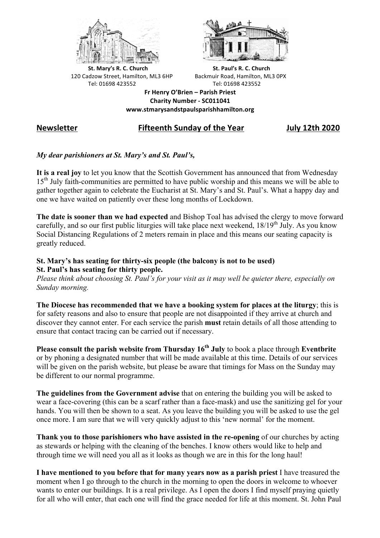



**St.** Mary's R. C. Church St. Paul's R. C. Church 120 Cadzow Street, Hamilton, ML3 6HP Backmuir Road, Hamilton, ML3 0PX Tel: 01698 423552 Tel: 01698 423552

**Fr Henry O'Brien – Parish Priest Charity Number - SC011041 www.stmarysandstpaulsparishhamilton.org**

# **Newsletter Fifteenth Sunday of the Year July 12th 2020**

## *My dear parishioners at St. Mary's and St. Paul's,*

**It is a real joy** to let you know that the Scottish Government has announced that from Wednesday 15th July faith-communities are permitted to have public worship and this means we will be able to gather together again to celebrate the Eucharist at St. Mary's and St. Paul's. What a happy day and one we have waited on patiently over these long months of Lockdown.

**The date is sooner than we had expected** and Bishop Toal has advised the clergy to move forward carefully, and so our first public liturgies will take place next weekend, 18/19<sup>th</sup> July. As you know Social Distancing Regulations of 2 meters remain in place and this means our seating capacity is greatly reduced.

### **St. Mary's has seating for thirty-six people (the balcony is not to be used) St. Paul's has seating for thirty people.**

*Please think about choosing St. Paul's for your visit as it may well be quieter there, especially on Sunday morning.*

**The Diocese has recommended that we have a booking system for places at the liturgy**; this is for safety reasons and also to ensure that people are not disappointed if they arrive at church and discover they cannot enter. For each service the parish **must** retain details of all those attending to ensure that contact tracing can be carried out if necessary.

**Please consult the parish website from Thursday 16<sup>th</sup> July** to book a place through Eventbrite or by phoning a designated number that will be made available at this time. Details of our services will be given on the parish website, but please be aware that timings for Mass on the Sunday may be different to our normal programme.

**The guidelines from the Government advise** that on entering the building you will be asked to wear a face-covering (this can be a scarf rather than a face-mask) and use the sanitizing gel for your hands. You will then be shown to a seat. As you leave the building you will be asked to use the gel once more. I am sure that we will very quickly adjust to this 'new normal' for the moment.

**Thank you to those parishioners who have assisted in the re-opening** of our churches by acting as stewards or helping with the cleaning of the benches. I know others would like to help and through time we will need you all as it looks as though we are in this for the long haul!

**I have mentioned to you before that for many years now as a parish priest** I have treasured the moment when I go through to the church in the morning to open the doors in welcome to whoever wants to enter our buildings. It is a real privilege. As I open the doors I find myself praying quietly for all who will enter, that each one will find the grace needed for life at this moment. St. John Paul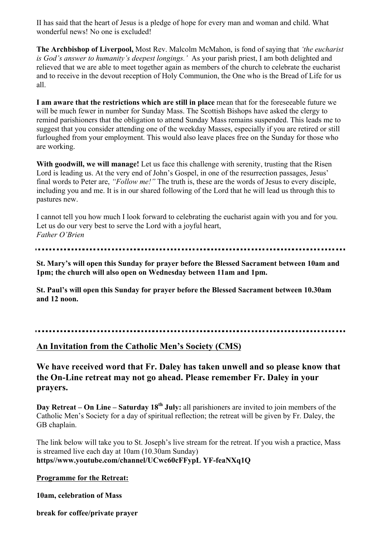II has said that the heart of Jesus is a pledge of hope for every man and woman and child. What wonderful news! No one is excluded!

**The Archbishop of Liverpool,** Most Rev. Malcolm McMahon, is fond of saying that *'the eucharist is God's answer to humanity's deepest longings.'* As your parish priest, I am both delighted and relieved that we are able to meet together again as members of the church to celebrate the eucharist and to receive in the devout reception of Holy Communion, the One who is the Bread of Life for us all.

**I am aware that the restrictions which are still in place** mean that for the foreseeable future we will be much fewer in number for Sunday Mass. The Scottish Bishops have asked the clergy to remind parishioners that the obligation to attend Sunday Mass remains suspended. This leads me to suggest that you consider attending one of the weekday Masses, especially if you are retired or still furloughed from your employment. This would also leave places free on the Sunday for those who are working.

**With goodwill, we will manage!** Let us face this challenge with serenity, trusting that the Risen Lord is leading us. At the very end of John's Gospel, in one of the resurrection passages, Jesus' final words to Peter are, *"Follow me!"* The truth is, these are the words of Jesus to every disciple, including you and me. It is in our shared following of the Lord that he will lead us through this to pastures new.

I cannot tell you how much I look forward to celebrating the eucharist again with you and for you. Let us do our very best to serve the Lord with a joyful heart, *Father O'Brien*

**St. Mary's will open this Sunday for prayer before the Blessed Sacrament between 10am and 1pm; the church will also open on Wednesday between 11am and 1pm.**

**St. Paul's will open this Sunday for prayer before the Blessed Sacrament between 10.30am and 12 noon.**

## **An Invitation from the Catholic Men's Society (CMS)**

**We have received word that Fr. Daley has taken unwell and so please know that the On-Line retreat may not go ahead. Please remember Fr. Daley in your prayers.**

**Day Retreat – On Line – Saturday 18th July:** all parishioners are invited to join members of the Catholic Men's Society for a day of spiritual reflection; the retreat will be given by Fr. Daley, the GB chaplain.

The link below will take you to St. Joseph's live stream for the retreat. If you wish a practice, Mass is streamed live each day at 10am (10.30am Sunday) **https//www.youtube.com/channel/UCwc60cFFypL YF-feaNXq1Q**

#### **Programme for the Retreat:**

**10am, celebration of Mass**

**break for coffee/private prayer**